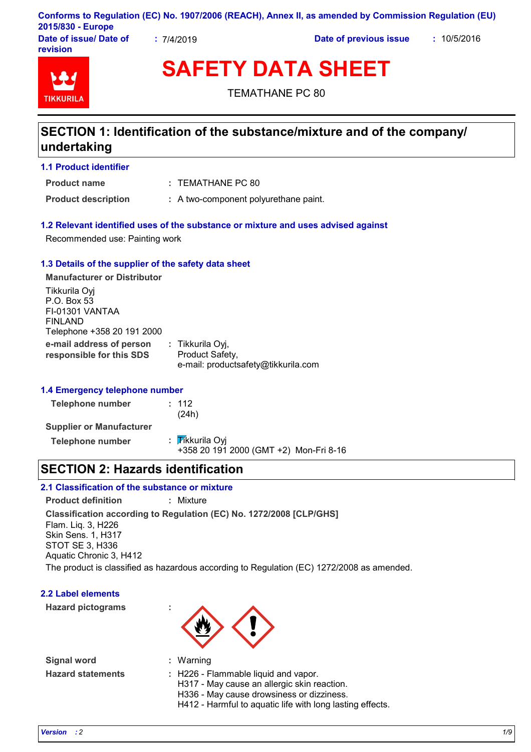|                        |           | Conforms to Regulation (EC) No. 1907/2006 (REACH), Annex II, as amended by Commission Regulation (EU) |             |
|------------------------|-----------|-------------------------------------------------------------------------------------------------------|-------------|
| 2015/830 - Europe      |           |                                                                                                       |             |
| Date of issue/ Date of | .7/4/2019 | Date of previous issue                                                                                | : 10/5/2016 |

**revision**

TIKKIIRI

**SAFETY DATA SHEET**

TEMATHANE PC 80

# **SECTION 1: Identification of the substance/mixture and of the company/ undertaking**

**1.1 Product identifier**

**Product name**

TEMATHANE PC 80 **:**

**Product description :** A two-component polyurethane paint.

#### **1.2 Relevant identified uses of the substance or mixture and uses advised against**

Recommended use: Painting work

#### **1.3 Details of the supplier of the safety data sheet**

**e-mail address of person responsible for this SDS :** Tikkurila Oyj, Product Safety, e-mail: productsafety@tikkurila.com **Manufacturer or Distributor** Tikkurila Oyj P.O. Box 53 FI-01301 VANTAA FINLAND Telephone +358 20 191 2000

#### **1.4 Emergency telephone number**

**Telephone number :** 112 (24h) **Supplier or Manufacturer Telephone number** : Tikkurila Oyj +358 20 191 2000 (GMT +2) Mon-Fri 8-16

### **SECTION 2: Hazards identification**

### **2.1 Classification of the substance or mixture**

**Classification according to Regulation (EC) No. 1272/2008 [CLP/GHS] Product definition :** Mixture Flam. Liq. 3, H226 Skin Sens. 1, H317 STOT SE 3, H336 Aquatic Chronic 3, H412

The product is classified as hazardous according to Regulation (EC) 1272/2008 as amended.

### **2.2 Label elements**

**Hazard pictograms :**



**Signal word : Hazard statements :**

- Warning
- : H226 Flammable liquid and vapor.
- H317 May cause an allergic skin reaction.
- H336 May cause drowsiness or dizziness.
- H412 Harmful to aquatic life with long lasting effects.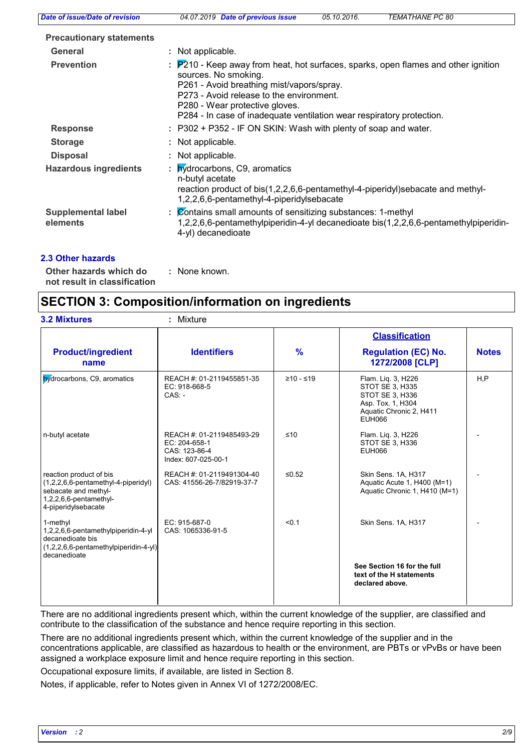| Date of issue/Date of revision        | <i>TEMATHANE PC 80</i><br>04.07.2019 Date of previous issue<br>05.10.2016.                                                                                                                                                                                                                                     |
|---------------------------------------|----------------------------------------------------------------------------------------------------------------------------------------------------------------------------------------------------------------------------------------------------------------------------------------------------------------|
| <b>Precautionary statements</b>       |                                                                                                                                                                                                                                                                                                                |
| <b>General</b>                        | : Not applicable.                                                                                                                                                                                                                                                                                              |
| <b>Prevention</b>                     | : P210 - Keep away from heat, hot surfaces, sparks, open flames and other ignition<br>sources. No smoking.<br>P261 - Avoid breathing mist/vapors/spray.<br>P273 - Avoid release to the environment.<br>P280 - Wear protective gloves.<br>P284 - In case of inadequate ventilation wear respiratory protection. |
| <b>Response</b>                       | : P302 + P352 - IF ON SKIN: Wash with plenty of soap and water.                                                                                                                                                                                                                                                |
| <b>Storage</b>                        | : Not applicable.                                                                                                                                                                                                                                                                                              |
| <b>Disposal</b>                       | : Not applicable.                                                                                                                                                                                                                                                                                              |
| <b>Hazardous ingredients</b>          | : <b>hydrocarbons</b> , C9, aromatics<br>n-butyl acetate<br>reaction product of bis(1,2,2,6,6-pentamethyl-4-piperidyl)sebacate and methyl-<br>1,2,2,6,6-pentamethyl-4-piperidylsebacate                                                                                                                        |
| <b>Supplemental label</b><br>elements | : Contains small amounts of sensitizing substances: 1-methyl<br>1,2,2,6,6-pentamethylpiperidin-4-yl decanedioate bis(1,2,2,6,6-pentamethylpiperidin-<br>4-yl) decanedioate                                                                                                                                     |

#### **2.3 Other hazards**

**Other hazards which do : not result in classification** : None known.

## **SECTION 3: Composition/information on ingredients**

|                                                                                                                                            |                                                                                    |               | <b>Classification</b>                                                                                                     |              |
|--------------------------------------------------------------------------------------------------------------------------------------------|------------------------------------------------------------------------------------|---------------|---------------------------------------------------------------------------------------------------------------------------|--------------|
| <b>Product/ingredient</b><br>name                                                                                                          | <b>Identifiers</b>                                                                 | $\frac{9}{6}$ | <b>Regulation (EC) No.</b><br>1272/2008 [CLP]                                                                             | <b>Notes</b> |
| <b>hydrocarbons</b> , C9, aromatics                                                                                                        | REACH #: 01-2119455851-35<br>EC: 918-668-5<br>$CAS: -$                             | $≥10 - ≤19$   | Flam. Lig. 3, H226<br>STOT SE 3, H335<br>STOT SE 3, H336<br>Asp. Tox. 1, H304<br>Aquatic Chronic 2, H411<br><b>EUH066</b> | H.P          |
| n-butyl acetate                                                                                                                            | REACH #: 01-2119485493-29<br>EC: 204-658-1<br>CAS: 123-86-4<br>Index: 607-025-00-1 | ≤10           | Flam. Lig. 3, H226<br>STOT SE 3, H336<br><b>EUH066</b>                                                                    |              |
| reaction product of bis<br>(1,2,2,6,6-pentamethyl-4-piperidyl)<br>sebacate and methyl-<br>$1,2,2,6,6$ -pentamethyl-<br>4-piperidylsebacate | REACH #: 01-2119491304-40<br>CAS: 41556-26-7/82919-37-7                            | $≤0.52$       | Skin Sens. 1A, H317<br>Aquatic Acute 1, H400 (M=1)<br>Aquatic Chronic 1, H410 (M=1)                                       |              |
| 1-methyl<br>1,2,2,6,6-pentamethylpiperidin-4-yl<br>decanedioate bis<br>(1,2,2,6,6-pentamethylpiperidin-4-yl)<br>decanedioate               | EC: 915-687-0<br>CAS: 1065336-91-5                                                 | < 0.1         | Skin Sens. 1A, H317                                                                                                       |              |
|                                                                                                                                            |                                                                                    |               | See Section 16 for the full<br>text of the H statements<br>declared above.                                                |              |

There are no additional ingredients present which, within the current knowledge of the supplier, are classified and contribute to the classification of the substance and hence require reporting in this section.

There are no additional ingredients present which, within the current knowledge of the supplier and in the concentrations applicable, are classified as hazardous to health or the environment, are PBTs or vPvBs or have been assigned a workplace exposure limit and hence require reporting in this section.

Occupational exposure limits, if available, are listed in Section 8.

Notes, if applicable, refer to Notes given in Annex VI of 1272/2008/EC.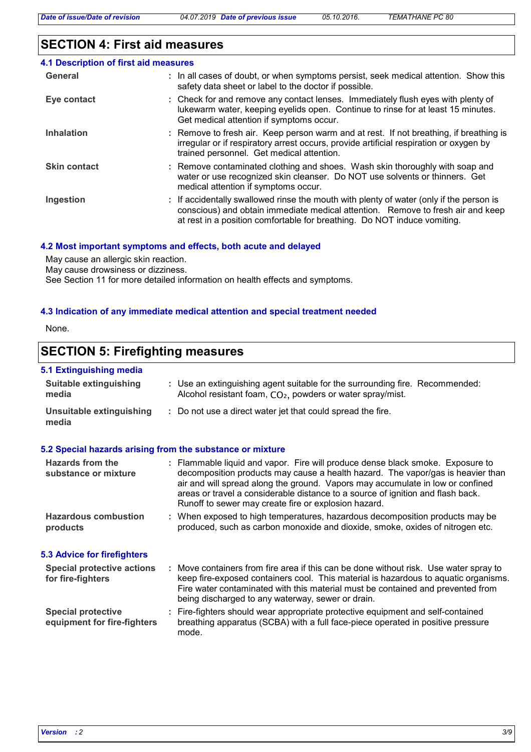# **SECTION 4: First aid measures**

| 4.1 Description of first aid measures |                                                                                                                                                                                                                                                        |
|---------------------------------------|--------------------------------------------------------------------------------------------------------------------------------------------------------------------------------------------------------------------------------------------------------|
| General                               | : In all cases of doubt, or when symptoms persist, seek medical attention. Show this<br>safety data sheet or label to the doctor if possible.                                                                                                          |
| Eye contact                           | : Check for and remove any contact lenses. Immediately flush eyes with plenty of<br>lukewarm water, keeping eyelids open. Continue to rinse for at least 15 minutes.<br>Get medical attention if symptoms occur.                                       |
| <b>Inhalation</b>                     | : Remove to fresh air. Keep person warm and at rest. If not breathing, if breathing is<br>irregular or if respiratory arrest occurs, provide artificial respiration or oxygen by<br>trained personnel. Get medical attention.                          |
| <b>Skin contact</b>                   | : Remove contaminated clothing and shoes. Wash skin thoroughly with soap and<br>water or use recognized skin cleanser. Do NOT use solvents or thinners. Get<br>medical attention if symptoms occur.                                                    |
| Ingestion                             | : If accidentally swallowed rinse the mouth with plenty of water (only if the person is<br>conscious) and obtain immediate medical attention. Remove to fresh air and keep<br>at rest in a position comfortable for breathing. Do NOT induce vomiting. |

#### **4.2 Most important symptoms and effects, both acute and delayed**

May cause an allergic skin reaction.

May cause drowsiness or dizziness.

See Section 11 for more detailed information on health effects and symptoms.

#### **4.3 Indication of any immediate medical attention and special treatment needed**

None.

# **SECTION 5: Firefighting measures**

#### **5.1 Extinguishing media**

| <b>Suitable extinguishing</b><br>: Use an extinguishing agent suitable for the surrounding fire. Recommended:<br>Alcohol resistant foam, CO <sub>2</sub> , powders or water spray/mist.<br>media<br><b>Unsuitable extinguishing</b><br>: Do not use a direct water jet that could spread the fire.<br>media<br>5.2 Special hazards arising from the substance or mixture<br>Hazards from the<br>: Flammable liquid and vapor. Fire will produce dense black smoke. Exposure to<br>decomposition products may cause a health hazard. The vapor/gas is heavier than<br>substance or mixture<br>air and will spread along the ground. Vapors may accumulate in low or confined<br>areas or travel a considerable distance to a source of ignition and flash back.<br>Runoff to sewer may create fire or explosion hazard.<br><b>Hazardous combustion</b><br>: When exposed to high temperatures, hazardous decomposition products may be<br>produced, such as carbon monoxide and dioxide, smoke, oxides of nitrogen etc.<br>products<br><b>5.3 Advice for firefighters</b><br><b>Special protective actions</b><br>: Move containers from fire area if this can be done without risk. Use water spray to<br>keep fire-exposed containers cool. This material is hazardous to aquatic organisms.<br>for fire-fighters |  |
|--------------------------------------------------------------------------------------------------------------------------------------------------------------------------------------------------------------------------------------------------------------------------------------------------------------------------------------------------------------------------------------------------------------------------------------------------------------------------------------------------------------------------------------------------------------------------------------------------------------------------------------------------------------------------------------------------------------------------------------------------------------------------------------------------------------------------------------------------------------------------------------------------------------------------------------------------------------------------------------------------------------------------------------------------------------------------------------------------------------------------------------------------------------------------------------------------------------------------------------------------------------------------------------------------------------------|--|
|                                                                                                                                                                                                                                                                                                                                                                                                                                                                                                                                                                                                                                                                                                                                                                                                                                                                                                                                                                                                                                                                                                                                                                                                                                                                                                                    |  |
|                                                                                                                                                                                                                                                                                                                                                                                                                                                                                                                                                                                                                                                                                                                                                                                                                                                                                                                                                                                                                                                                                                                                                                                                                                                                                                                    |  |
|                                                                                                                                                                                                                                                                                                                                                                                                                                                                                                                                                                                                                                                                                                                                                                                                                                                                                                                                                                                                                                                                                                                                                                                                                                                                                                                    |  |
|                                                                                                                                                                                                                                                                                                                                                                                                                                                                                                                                                                                                                                                                                                                                                                                                                                                                                                                                                                                                                                                                                                                                                                                                                                                                                                                    |  |
|                                                                                                                                                                                                                                                                                                                                                                                                                                                                                                                                                                                                                                                                                                                                                                                                                                                                                                                                                                                                                                                                                                                                                                                                                                                                                                                    |  |
|                                                                                                                                                                                                                                                                                                                                                                                                                                                                                                                                                                                                                                                                                                                                                                                                                                                                                                                                                                                                                                                                                                                                                                                                                                                                                                                    |  |
| Fire water contaminated with this material must be contained and prevented from<br>being discharged to any waterway, sewer or drain.                                                                                                                                                                                                                                                                                                                                                                                                                                                                                                                                                                                                                                                                                                                                                                                                                                                                                                                                                                                                                                                                                                                                                                               |  |
| <b>Special protective</b><br>: Fire-fighters should wear appropriate protective equipment and self-contained<br>breathing apparatus (SCBA) with a full face-piece operated in positive pressure<br>equipment for fire-fighters<br>mode.                                                                                                                                                                                                                                                                                                                                                                                                                                                                                                                                                                                                                                                                                                                                                                                                                                                                                                                                                                                                                                                                            |  |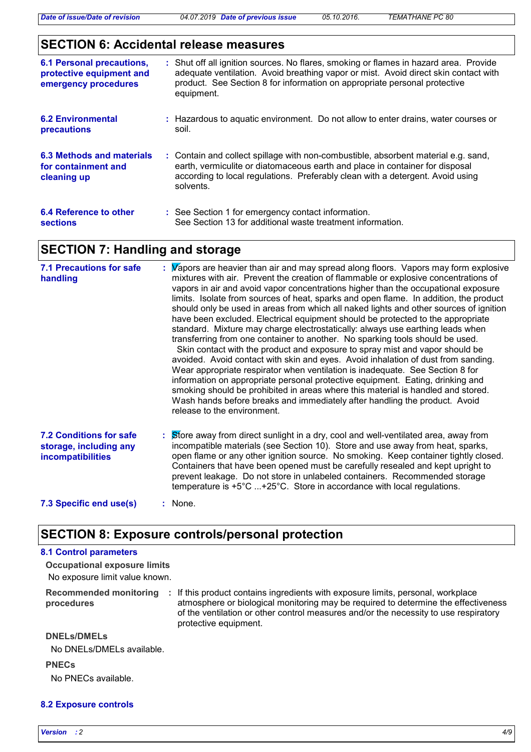### **SECTION 6: Accidental release measures**

| <b>6.1 Personal precautions,</b><br>protective equipment and<br>emergency procedures | : Shut off all ignition sources. No flares, smoking or flames in hazard area. Provide<br>adequate ventilation. Avoid breathing vapor or mist. Avoid direct skin contact with<br>product. See Section 8 for information on appropriate personal protective<br>equipment. |
|--------------------------------------------------------------------------------------|-------------------------------------------------------------------------------------------------------------------------------------------------------------------------------------------------------------------------------------------------------------------------|
| <b>6.2 Environmental</b><br><b>precautions</b>                                       | : Hazardous to aguatic environment. Do not allow to enter drains, water courses or<br>soil.                                                                                                                                                                             |
| 6.3 Methods and materials<br>for containment and<br>cleaning up                      | : Contain and collect spillage with non-combustible, absorbent material e.g. sand,<br>earth, vermiculite or diatomaceous earth and place in container for disposal<br>according to local regulations. Preferably clean with a detergent. Avoid using<br>solvents.       |
| 6.4 Reference to other<br><b>sections</b>                                            | : See Section 1 for emergency contact information.<br>See Section 13 for additional waste treatment information.                                                                                                                                                        |

### **SECTION 7: Handling and storage**

| <b>7.1 Precautions for safe</b><br>handling                                          | : Wapors are heavier than air and may spread along floors. Vapors may form explosive<br>mixtures with air. Prevent the creation of flammable or explosive concentrations of<br>vapors in air and avoid vapor concentrations higher than the occupational exposure<br>limits. Isolate from sources of heat, sparks and open flame. In addition, the product<br>should only be used in areas from which all naked lights and other sources of ignition<br>have been excluded. Electrical equipment should be protected to the appropriate<br>standard. Mixture may charge electrostatically: always use earthing leads when<br>transferring from one container to another. No sparking tools should be used.<br>Skin contact with the product and exposure to spray mist and vapor should be<br>avoided. Avoid contact with skin and eyes. Avoid inhalation of dust from sanding.<br>Wear appropriate respirator when ventilation is inadequate. See Section 8 for<br>information on appropriate personal protective equipment. Eating, drinking and<br>smoking should be prohibited in areas where this material is handled and stored.<br>Wash hands before breaks and immediately after handling the product. Avoid<br>release to the environment. |
|--------------------------------------------------------------------------------------|-----------------------------------------------------------------------------------------------------------------------------------------------------------------------------------------------------------------------------------------------------------------------------------------------------------------------------------------------------------------------------------------------------------------------------------------------------------------------------------------------------------------------------------------------------------------------------------------------------------------------------------------------------------------------------------------------------------------------------------------------------------------------------------------------------------------------------------------------------------------------------------------------------------------------------------------------------------------------------------------------------------------------------------------------------------------------------------------------------------------------------------------------------------------------------------------------------------------------------------------------------|
| <b>7.2 Conditions for safe</b><br>storage, including any<br><b>incompatibilities</b> | : Store away from direct sunlight in a dry, cool and well-ventilated area, away from<br>incompatible materials (see Section 10). Store and use away from heat, sparks,<br>open flame or any other ignition source. No smoking. Keep container tightly closed.<br>Containers that have been opened must be carefully resealed and kept upright to<br>prevent leakage. Do not store in unlabeled containers. Recommended storage<br>temperature is $+5^{\circ}$ C +25°C. Store in accordance with local regulations.                                                                                                                                                                                                                                                                                                                                                                                                                                                                                                                                                                                                                                                                                                                                  |
| 7.3 Specific end use(s)                                                              | $:$ None.                                                                                                                                                                                                                                                                                                                                                                                                                                                                                                                                                                                                                                                                                                                                                                                                                                                                                                                                                                                                                                                                                                                                                                                                                                           |

### **SECTION 8: Exposure controls/personal protection**

### **8.1 Control parameters**

No exposure limit value known. **Occupational exposure limits**

**procedures**

Recommended monitoring : If this product contains ingredients with exposure limits, personal, workplace atmosphere or biological monitoring may be required to determine the effectiveness of the ventilation or other control measures and/or the necessity to use respiratory protective equipment.

#### **DNELs/DMELs**

No DNELs/DMELs available.

#### **PNECs**

No PNECs available.

#### **8.2 Exposure controls**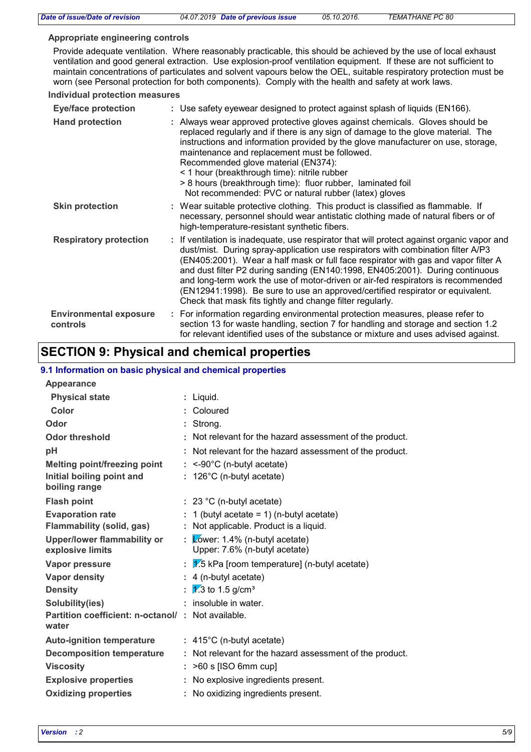| Date of issue/Date of revision            | 04.07.2019 Date of previous issue                                                                                                                                                                                                                                                                                                                                                                                                                                                                                                                                                        | 05.10.2016. | TEMATHANE PC 80 |
|-------------------------------------------|------------------------------------------------------------------------------------------------------------------------------------------------------------------------------------------------------------------------------------------------------------------------------------------------------------------------------------------------------------------------------------------------------------------------------------------------------------------------------------------------------------------------------------------------------------------------------------------|-------------|-----------------|
| Appropriate engineering controls          |                                                                                                                                                                                                                                                                                                                                                                                                                                                                                                                                                                                          |             |                 |
|                                           | Provide adequate ventilation. Where reasonably practicable, this should be achieved by the use of local exhaust<br>ventilation and good general extraction. Use explosion-proof ventilation equipment. If these are not sufficient to<br>maintain concentrations of particulates and solvent vapours below the OEL, suitable respiratory protection must be<br>worn (see Personal protection for both components). Comply with the health and safety at work laws.                                                                                                                       |             |                 |
| <b>Individual protection measures</b>     |                                                                                                                                                                                                                                                                                                                                                                                                                                                                                                                                                                                          |             |                 |
| <b>Eye/face protection</b>                | : Use safety eyewear designed to protect against splash of liquids (EN166).                                                                                                                                                                                                                                                                                                                                                                                                                                                                                                              |             |                 |
| <b>Hand protection</b>                    | : Always wear approved protective gloves against chemicals. Gloves should be<br>replaced regularly and if there is any sign of damage to the glove material. The<br>instructions and information provided by the glove manufacturer on use, storage,<br>maintenance and replacement must be followed.<br>Recommended glove material (EN374):<br>< 1 hour (breakthrough time): nitrile rubber<br>> 8 hours (breakthrough time): fluor rubber, laminated foil<br>Not recommended: PVC or natural rubber (latex) gloves                                                                     |             |                 |
| <b>Skin protection</b>                    | : Wear suitable protective clothing. This product is classified as flammable. If<br>necessary, personnel should wear antistatic clothing made of natural fibers or of<br>high-temperature-resistant synthetic fibers.                                                                                                                                                                                                                                                                                                                                                                    |             |                 |
| <b>Respiratory protection</b>             | : If ventilation is inadequate, use respirator that will protect against organic vapor and<br>dust/mist. During spray-application use respirators with combination filter A/P3<br>(EN405:2001). Wear a half mask or full face respirator with gas and vapor filter A<br>and dust filter P2 during sanding (EN140:1998, EN405:2001). During continuous<br>and long-term work the use of motor-driven or air-fed respirators is recommended<br>(EN12941:1998). Be sure to use an approved/certified respirator or equivalent.<br>Check that mask fits tightly and change filter regularly. |             |                 |
| <b>Environmental exposure</b><br>controls | : For information regarding environmental protection measures, please refer to<br>section 13 for waste handling, section 7 for handling and storage and section 1.2<br>for relevant identified uses of the substance or mixture and uses advised against.                                                                                                                                                                                                                                                                                                                                |             |                 |

# **SECTION 9: Physical and chemical properties**

#### **9.1 Information on basic physical and chemical properties**

| 9. THILOHIRADON ON DASIC PHYSICAL AND CHEMICAL PROPERTIES  |   |                                                                  |
|------------------------------------------------------------|---|------------------------------------------------------------------|
| Appearance                                                 |   |                                                                  |
| <b>Physical state</b>                                      |   | : Liquid.                                                        |
| Color                                                      |   | : Coloured                                                       |
| Odor                                                       |   | Strong.                                                          |
| <b>Odor threshold</b>                                      |   | Not relevant for the hazard assessment of the product.           |
| pH                                                         |   | Not relevant for the hazard assessment of the product.           |
| <b>Melting point/freezing point</b>                        |   | $:$ <-90°C (n-butyl acetate)                                     |
| Initial boiling point and<br>boiling range                 |   | $: 126^{\circ}$ C (n-butyl acetate)                              |
| <b>Flash point</b>                                         |   | $: 23 °C$ (n-butyl acetate)                                      |
| <b>Evaporation rate</b>                                    |   | 1 (butyl acetate = $1$ ) (n-butyl acetate)                       |
| Flammability (solid, gas)                                  |   | : Not applicable. Product is a liquid.                           |
| Upper/lower flammability or<br>explosive limits            |   | : Lower: 1.4% (n-butyl acetate)<br>Upper: 7.6% (n-butyl acetate) |
| Vapor pressure                                             |   | $V$ .5 kPa [room temperature] (n-butyl acetate)                  |
| <b>Vapor density</b>                                       |   | $: 4$ (n-butyl acetate)                                          |
| <b>Density</b>                                             | ÷ | $\sqrt{1/3}$ to 1.5 g/cm <sup>3</sup>                            |
| Solubility(ies)                                            |   | insoluble in water.                                              |
| Partition coefficient: n-octanol/: Not available.<br>water |   |                                                                  |
| <b>Auto-ignition temperature</b>                           |   | $: 415^{\circ}$ C (n-butyl acetate)                              |
| <b>Decomposition temperature</b>                           |   | : Not relevant for the hazard assessment of the product.         |
| <b>Viscosity</b>                                           |   | $:$ >60 s [ISO 6mm cup]                                          |
| <b>Explosive properties</b>                                |   | : No explosive ingredients present.                              |
| <b>Oxidizing properties</b>                                |   | : No oxidizing ingredients present.                              |
|                                                            |   |                                                                  |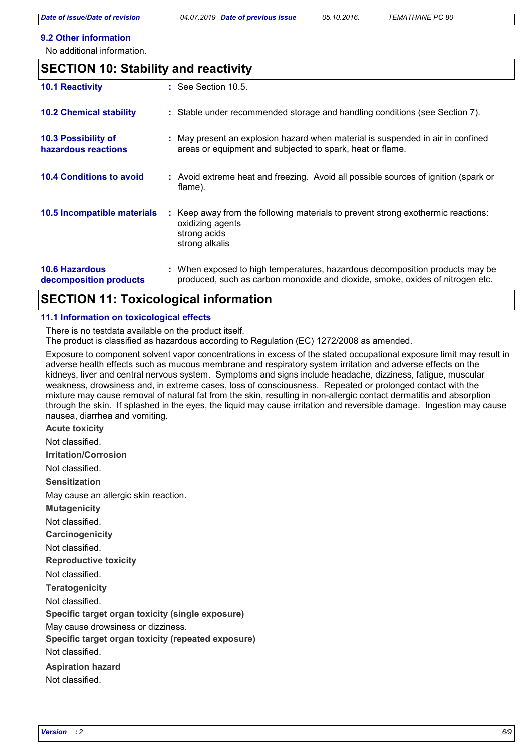#### **9.2 Other information**

No additional information.

| <b>SECTION 10: Stability and reactivity</b>     |  |                                                                                                                                                               |  |  |
|-------------------------------------------------|--|---------------------------------------------------------------------------------------------------------------------------------------------------------------|--|--|
| <b>10.1 Reactivity</b>                          |  | : See Section 10.5.                                                                                                                                           |  |  |
| <b>10.2 Chemical stability</b>                  |  | : Stable under recommended storage and handling conditions (see Section 7).                                                                                   |  |  |
| 10.3 Possibility of<br>hazardous reactions      |  | : May present an explosion hazard when material is suspended in air in confined<br>areas or equipment and subjected to spark, heat or flame.                  |  |  |
| <b>10.4 Conditions to avoid</b>                 |  | : Avoid extreme heat and freezing. Avoid all possible sources of ignition (spark or<br>flame).                                                                |  |  |
| 10.5 Incompatible materials                     |  | : Keep away from the following materials to prevent strong exothermic reactions:<br>oxidizing agents<br>strong acids<br>strong alkalis                        |  |  |
| <b>10.6 Hazardous</b><br>decomposition products |  | : When exposed to high temperatures, hazardous decomposition products may be<br>produced, such as carbon monoxide and dioxide, smoke, oxides of nitrogen etc. |  |  |

### **SECTION 11: Toxicological information**

#### **11.1 Information on toxicological effects**

There is no testdata available on the product itself.

The product is classified as hazardous according to Regulation (EC) 1272/2008 as amended.

Exposure to component solvent vapor concentrations in excess of the stated occupational exposure limit may result in adverse health effects such as mucous membrane and respiratory system irritation and adverse effects on the kidneys, liver and central nervous system. Symptoms and signs include headache, dizziness, fatigue, muscular weakness, drowsiness and, in extreme cases, loss of consciousness. Repeated or prolonged contact with the mixture may cause removal of natural fat from the skin, resulting in non-allergic contact dermatitis and absorption through the skin. If splashed in the eyes, the liquid may cause irritation and reversible damage. Ingestion may cause nausea, diarrhea and vomiting.

**Acute toxicity**

Not classified.

**Irritation/Corrosion**

Not classified.

**Sensitization**

May cause an allergic skin reaction.

**Mutagenicity**

Not classified.

**Carcinogenicity**

Not classified.

**Reproductive toxicity**

Not classified.

**Teratogenicity**

Not classified.

**Specific target organ toxicity (single exposure)**

May cause drowsiness or dizziness.

**Specific target organ toxicity (repeated exposure)**

Not classified.

**Aspiration hazard**

Not classified.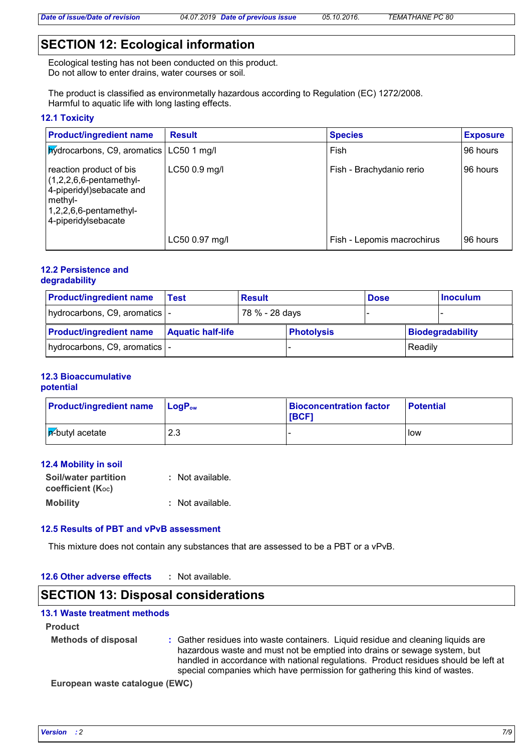### **SECTION 12: Ecological information**

Ecological testing has not been conducted on this product. Do not allow to enter drains, water courses or soil.

The product is classified as environmetally hazardous according to Regulation (EC) 1272/2008. Harmful to aquatic life with long lasting effects.

#### **12.1 Toxicity**

| <b>Product/ingredient name</b>                                                                                                                   | <b>Result</b>  | <b>Species</b>             | <b>Exposure</b> |
|--------------------------------------------------------------------------------------------------------------------------------------------------|----------------|----------------------------|-----------------|
| <b>Xydrocarbons, C9, aromatics   LC50 1 mg/l</b>                                                                                                 |                | Fish                       | 196 hours       |
| reaction product of bis<br>$(1,2,2,6,6$ -pentamethyl-<br>4-piperidyl)sebacate and<br>methyl-<br>$1,2,2,6,6$ -pentamethyl-<br>4-piperidylsebacate | LC50 0.9 mg/l  | Fish - Brachydanio rerio   | 196 hours       |
|                                                                                                                                                  | LC50 0.97 mg/l | Fish - Lepomis macrochirus | 196 hours       |

#### **12.2 Persistence and degradability**

| <b>Product/ingredient name</b> | <b>Result</b><br>Test    |  |                   | <b>Dose</b>      |         | ∣Inoculum |
|--------------------------------|--------------------------|--|-------------------|------------------|---------|-----------|
| hydrocarbons, C9, aromatics  - | 78 % - 28 days           |  |                   |                  |         |           |
| <b>Product/ingredient name</b> | <b>Aquatic half-life</b> |  | <b>Photolysis</b> | Biodegradability |         |           |
| hydrocarbons, C9, aromatics  - |                          |  |                   |                  | Readily |           |

#### **12.3 Bioaccumulative potential**

| <b>Product/ingredient name</b> LogP <sub>ow</sub> |     | <b>Bioconcentration factor</b><br>[BCF] | <b>Potential</b> |
|---------------------------------------------------|-----|-----------------------------------------|------------------|
| $ \mathsf{p}\rangle$ -butyl acetate               | 2.3 |                                         | <b>I</b> low     |

#### **12.4 Mobility in soil**

| <b>Soil/water partition</b> | : Not available. |
|-----------------------------|------------------|
| coefficient (Koc)           |                  |
| <b>Mobility</b>             | : Not available. |

#### **12.5 Results of PBT and vPvB assessment**

This mixture does not contain any substances that are assessed to be a PBT or a vPvB.

#### **12.6 Other adverse effects :**

### **SECTION 13: Disposal considerations**

### **13.1 Waste treatment methods**

#### **Product**

- **Methods of disposal :**
- Gather residues into waste containers. Liquid residue and cleaning liquids are hazardous waste and must not be emptied into drains or sewage system, but handled in accordance with national regulations. Product residues should be left at special companies which have permission for gathering this kind of wastes.

**European waste catalogue (EWC)**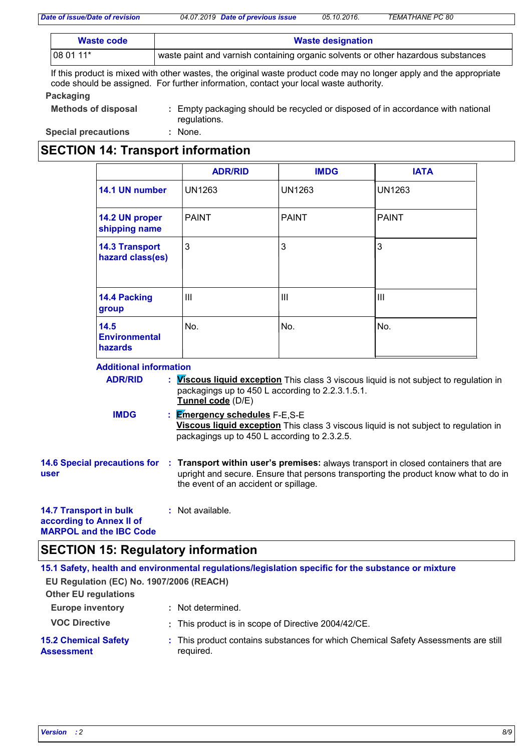| Waste code | <b>Waste designation</b>                                                          |  |
|------------|-----------------------------------------------------------------------------------|--|
| 08 01 11*  | waste paint and varnish containing organic solvents or other hazardous substances |  |

If this product is mixed with other wastes, the original waste product code may no longer apply and the appropriate code should be assigned. For further information, contact your local waste authority.

#### **Packaging**

| Methods of disposal        | : Empty packaging should be recycled or disposed of in accordance with national<br>requlations. |
|----------------------------|-------------------------------------------------------------------------------------------------|
| <b>Special precautions</b> | None.                                                                                           |

# **SECTION 14: Transport information**

|                                           | <b>ADR/RID</b> | <b>IMDG</b>    | <b>IATA</b>   |
|-------------------------------------------|----------------|----------------|---------------|
| 14.1 UN number                            | <b>UN1263</b>  | <b>UN1263</b>  | <b>UN1263</b> |
| 14.2 UN proper<br>shipping name           | <b>PAINT</b>   | <b>PAINT</b>   | <b>PAINT</b>  |
| <b>14.3 Transport</b><br>hazard class(es) | 3              | 3              | 3             |
| 14.4 Packing<br>group                     | Ш              | $\mathbf{III}$ | Ш             |
| 14.5<br><b>Environmental</b><br>hazards   | No.            | No.            | No.           |

#### **Additional information**

| <b>ADR/RID</b>                                            | : <i>Viscous liquid exception</i> This class 3 viscous liquid is not subject to regulation in<br>packagings up to 450 L according to 2.2.3.1.5.1.<br>Tunnel code (D/E)                                             |
|-----------------------------------------------------------|--------------------------------------------------------------------------------------------------------------------------------------------------------------------------------------------------------------------|
| <b>IMDG</b>                                               | : <b>Emergency schedules</b> F-E,S-E<br><b>Viscous liquid exception</b> This class 3 viscous liquid is not subject to regulation in<br>packagings up to 450 L according to 2.3.2.5.                                |
| <b>14.6 Special precautions for</b><br>user               | : Transport within user's premises: always transport in closed containers that are<br>upright and secure. Ensure that persons transporting the product know what to do in<br>the event of an accident or spillage. |
| <b>14.7 Transport in bulk</b><br>according to Annex II of | : Not available.                                                                                                                                                                                                   |

**MARPOL and the IBC Code**

### **SECTION 15: Regulatory information**

|                                                  | 15.1 Safety, health and environmental regulations/legislation specific for the substance or mixture |
|--------------------------------------------------|-----------------------------------------------------------------------------------------------------|
| EU Regulation (EC) No. 1907/2006 (REACH)         |                                                                                                     |
| <b>Other EU regulations</b>                      |                                                                                                     |
| <b>Europe inventory</b>                          | : Not determined.                                                                                   |
| <b>VOC Directive</b>                             | : This product is in scope of Directive 2004/42/CE.                                                 |
| <b>15.2 Chemical Safety</b><br><b>Assessment</b> | : This product contains substances for which Chemical Safety Assessments are still<br>required.     |